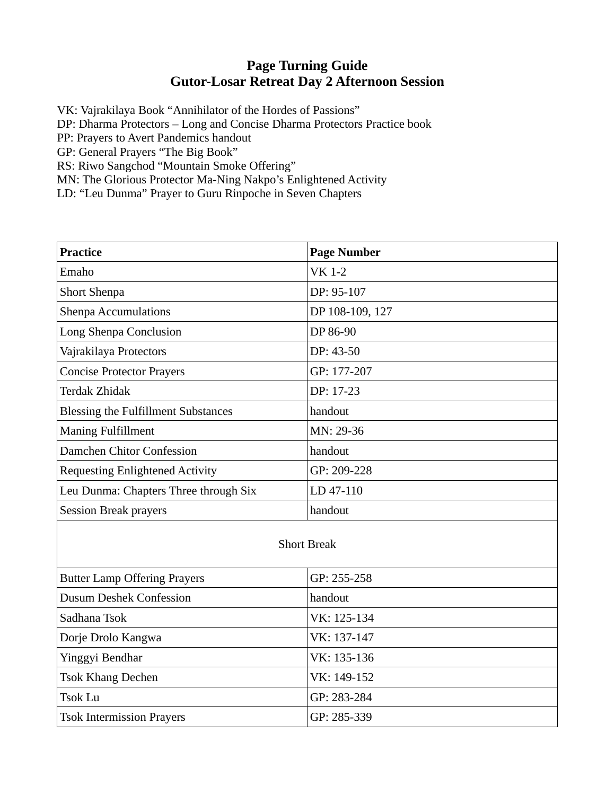## **Page Turning Guide Gutor-Losar Retreat Day 2 Afternoon Session**

VK: Vajrakilaya Book "Annihilator of the Hordes of Passions"

DP: Dharma Protectors – Long and Concise Dharma Protectors Practice book

PP: Prayers to Avert Pandemics handout

GP: General Prayers "The Big Book"

RS: Riwo Sangchod "Mountain Smoke Offering"

MN: The Glorious Protector Ma-Ning Nakpo's Enlightened Activity

LD: "Leu Dunma" Prayer to Guru Rinpoche in Seven Chapters

| <b>Practice</b>                            | <b>Page Number</b> |
|--------------------------------------------|--------------------|
| Emaho                                      | <b>VK 1-2</b>      |
| <b>Short Shenpa</b>                        | DP: 95-107         |
| <b>Shenpa Accumulations</b>                | DP 108-109, 127    |
| Long Shenpa Conclusion                     | DP 86-90           |
| Vajrakilaya Protectors                     | DP: 43-50          |
| <b>Concise Protector Prayers</b>           | GP: 177-207        |
| Terdak Zhidak                              | DP: 17-23          |
| <b>Blessing the Fulfillment Substances</b> | handout            |
| <b>Maning Fulfillment</b>                  | MN: 29-36          |
| Damchen Chitor Confession                  | handout            |
| <b>Requesting Enlightened Activity</b>     | GP: 209-228        |
| Leu Dunma: Chapters Three through Six      | LD 47-110          |
| <b>Session Break prayers</b>               | handout            |

## Short Break

| <b>Butter Lamp Offering Prayers</b> | GP: 255-258 |
|-------------------------------------|-------------|
| <b>Dusum Deshek Confession</b>      | handout     |
| Sadhana Tsok                        | VK: 125-134 |
| Dorje Drolo Kangwa                  | VK: 137-147 |
| Yinggyi Bendhar                     | VK: 135-136 |
| <b>Tsok Khang Dechen</b>            | VK: 149-152 |
| Tsok Lu                             | GP: 283-284 |
| <b>Tsok Intermission Prayers</b>    | GP: 285-339 |